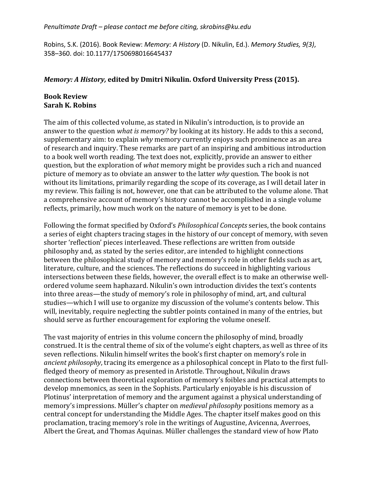Robins, S.K. (2016). Book Review: *Memory: A History* (D. Nikulin, Ed.). *Memory Studies, 9(3)*, 358–360. doi: 10.1177/1750698016645437

# *Memory: A History,* edited by Dmitri Nikulin. Oxford University Press (2015).

# **Book Review Sarah K. Robins**

The aim of this collected volume, as stated in Nikulin's introduction, is to provide an answer to the question *what is memory?* by looking at its history. He adds to this a second, supplementary aim: to explain *why* memory currently enjoys such prominence as an area of research and inquiry. These remarks are part of an inspiring and ambitious introduction to a book well worth reading. The text does not, explicitly, provide an answer to either question, but the exploration of *what* memory might be provides such a rich and nuanced picture of memory as to obviate an answer to the latter *why* question. The book is not without its limitations, primarily regarding the scope of its coverage, as I will detail later in my review. This failing is not, however, one that can be attributed to the volume alone. That a comprehensive account of memory's history cannot be accomplished in a single volume reflects, primarily, how much work on the nature of memory is yet to be done.

Following the format specified by Oxford's *Philosophical Concepts* series, the book contains a series of eight chapters tracing stages in the history of our concept of memory, with seven shorter 'reflection' pieces interleaved. These reflections are written from outside philosophy and, as stated by the series editor, are intended to highlight connections between the philosophical study of memory and memory's role in other fields such as art, literature, culture, and the sciences. The reflections do succeed in highlighting various intersections between these fields, however, the overall effect is to make an otherwise wellordered volume seem haphazard. Nikulin's own introduction divides the text's contents into three areas—the study of memory's role in philosophy of mind, art, and cultural studies—which I will use to organize my discussion of the volume's contents below. This will, inevitably, require neglecting the subtler points contained in many of the entries, but should serve as further encouragement for exploring the volume oneself.

The vast majority of entries in this volume concern the philosophy of mind, broadly construed. It is the central theme of six of the volume's eight chapters, as well as three of its seven reflections. Nikulin himself writes the book's first chapter on memory's role in *ancient philosophy*, tracing its emergence as a philosophical concept in Plato to the first fullfledged theory of memory as presented in Aristotle. Throughout, Nikulin draws connections between theoretical exploration of memory's foibles and practical attempts to develop mnemonics, as seen in the Sophists. Particularly enjoyable is his discussion of Plotinus' interpretation of memory and the argument against a physical understanding of memory's impressions. Müller's chapter on *medieval philosophy* positions memory as a central concept for understanding the Middle Ages. The chapter itself makes good on this proclamation, tracing memory's role in the writings of Augustine, Avicenna, Averroes, Albert the Great, and Thomas Aquinas. Müller challenges the standard view of how Plato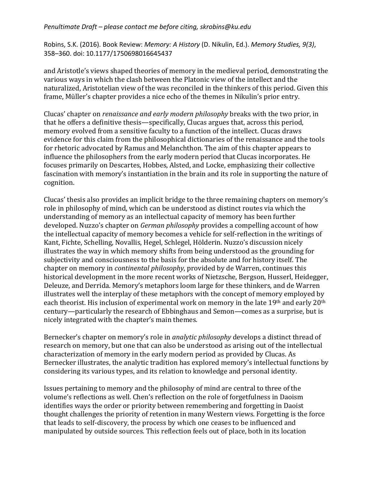Robins, S.K. (2016). Book Review: *Memory: A History* (D. Nikulin, Ed.). *Memory Studies, 9(3)*, 358–360. doi: 10.1177/1750698016645437

and Aristotle's views shaped theories of memory in the medieval period, demonstrating the various ways in which the clash between the Platonic view of the intellect and the naturalized, Aristotelian view of the was reconciled in the thinkers of this period. Given this frame, Müller's chapter provides a nice echo of the themes in Nikulin's prior entry.

Clucas' chapter on *renaissance and early modern philosophy* breaks with the two prior, in that he offers a definitive thesis—specifically, Clucas argues that, across this period, memory evolved from a sensitive faculty to a function of the intellect. Clucas draws evidence for this claim from the philosophical dictionaries of the renaissance and the tools for rhetoric advocated by Ramus and Melanchthon. The aim of this chapter appears to influence the philosophers from the early modern period that Clucas incorporates. He focuses primarily on Descartes, Hobbes, Alsted, and Locke, emphasizing their collective fascination with memory's instantiation in the brain and its role in supporting the nature of cognition. 

Clucas' thesis also provides an implicit bridge to the three remaining chapters on memory's role in philosophy of mind, which can be understood as distinct routes via which the understanding of memory as an intellectual capacity of memory has been further developed. Nuzzo's chapter on *German philosophy* provides a compelling account of how the intellectual capacity of memory becomes a vehicle for self-reflection in the writings of Kant, Fichte, Schelling, Novallis, Hegel, Schlegel, Hölderin. Nuzzo's discussion nicely illustrates the way in which memory shifts from being understood as the grounding for subjectivity and consciousness to the basis for the absolute and for history itself. The chapter on memory in *continental philosophy*, provided by de Warren, continues this historical development in the more recent works of Nietzsche, Bergson, Husserl, Heidegger, Deleuze, and Derrida. Memory's metaphors loom large for these thinkers, and de Warren illustrates well the interplay of these metaphors with the concept of memory employed by each theorist. His inclusion of experimental work on memory in the late 19<sup>th</sup> and early 20<sup>th</sup> century—particularly the research of Ebbinghaus and Semon—comes as a surprise, but is nicely integrated with the chapter's main themes.

Bernecker's chapter on memory's role in *analytic philosophy* develops a distinct thread of research on memory, but one that can also be understood as arising out of the intellectual characterization of memory in the early modern period as provided by Clucas. As Bernecker illustrates, the analytic tradition has explored memory's intellectual functions by considering its various types, and its relation to knowledge and personal identity.

Issues pertaining to memory and the philosophy of mind are central to three of the volume's reflections as well. Chen's reflection on the role of forgetfulness in Daoism identifies ways the order or priority between remembering and forgetting in Daoist thought challenges the priority of retention in many Western views. Forgetting is the force that leads to self-discovery, the process by which one ceases to be influenced and manipulated by outside sources. This reflection feels out of place, both in its location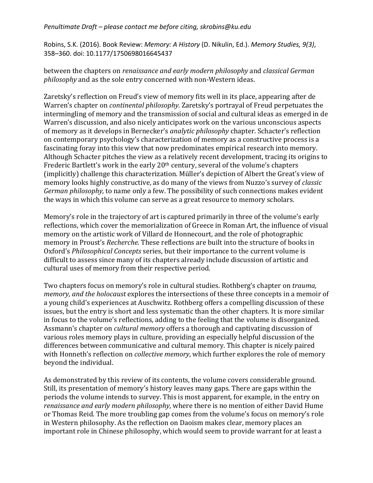Robins, S.K. (2016). Book Review: *Memory: A History* (D. Nikulin, Ed.). *Memory Studies, 9(3)*, 358–360. doi: 10.1177/1750698016645437

between the chapters on *renaissance and early modern philosophy* and *classical German philosophy* and as the sole entry concerned with non-Western ideas.

Zaretsky's reflection on Freud's view of memory fits well in its place, appearing after de Warren's chapter on *continental philosophy*. Zaretsky's portrayal of Freud perpetuates the intermingling of memory and the transmission of social and cultural ideas as emerged in de Warren's discussion, and also nicely anticipates work on the various unconscious aspects of memory as it develops in Bernecker's *analytic philosophy* chapter. Schacter's reflection on contemporary psychology's characterization of memory as a constructive process is a fascinating foray into this view that now predominates empirical research into memory. Although Schacter pitches the view as a relatively recent development, tracing its origins to Frederic Bartlett's work in the early  $20<sup>th</sup>$  century, several of the volume's chapters (implicitly) challenge this characterization. Müller's depiction of Albert the Great's view of memory looks highly constructive, as do many of the views from Nuzzo's survey of *classic German philosophy,* to name only a few. The possibility of such connections makes evident the ways in which this volume can serve as a great resource to memory scholars.

Memory's role in the trajectory of art is captured primarily in three of the volume's early reflections, which cover the memorialization of Greece in Roman Art, the influence of visual memory on the artistic work of Villard de Honnecourt, and the role of photographic memory in Proust's *Recherche*. These reflections are built into the structure of books in Oxford's *Philosophical Concepts* series, but their importance to the current volume is difficult to assess since many of its chapters already include discussion of artistic and cultural uses of memory from their respective period.

Two chapters focus on memory's role in cultural studies. Rothberg's chapter on *trauma*, *memory, and the holocaust* explores the intersections of these three concepts in a memoir of a voung child's experiences at Auschwitz. Rothberg offers a compelling discussion of these issues, but the entry is short and less systematic than the other chapters. It is more similar in focus to the volume's reflections, adding to the feeling that the volume is disorganized. Assmann's chapter on *cultural memory* offers a thorough and captivating discussion of various roles memory plays in culture, providing an especially helpful discussion of the differences between communicative and cultural memory. This chapter is nicely paired with Honneth's reflection on *collective memory*, which further explores the role of memory beyond the individual.

As demonstrated by this review of its contents, the volume covers considerable ground. Still, its presentation of memory's history leaves many gaps. There are gaps within the periods the volume intends to survey. This is most apparent, for example, in the entry on *renaissance and early modern philosophy*, where there is no mention of either David Hume or Thomas Reid. The more troubling gap comes from the volume's focus on memory's role in Western philosophy. As the reflection on Daoism makes clear, memory places an important role in Chinese philosophy, which would seem to provide warrant for at least a